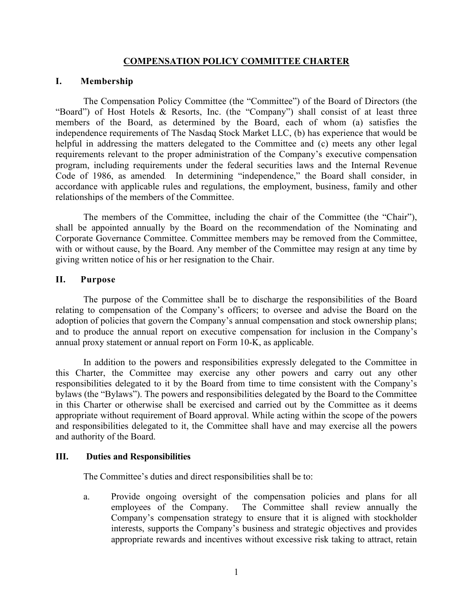## **COMPENSATION POLICY COMMITTEE CHARTER**

## **I. Membership**

The Compensation Policy Committee (the "Committee") of the Board of Directors (the "Board") of Host Hotels & Resorts, Inc. (the "Company") shall consist of at least three members of the Board, as determined by the Board, each of whom (a) satisfies the independence requirements of The Nasdaq Stock Market LLC, (b) has experience that would be helpful in addressing the matters delegated to the Committee and (c) meets any other legal requirements relevant to the proper administration of the Company's executive compensation program, including requirements under the federal securities laws and the Internal Revenue Code of 1986, as amended. In determining "independence," the Board shall consider, in accordance with applicable rules and regulations, the employment, business, family and other relationships of the members of the Committee.

The members of the Committee, including the chair of the Committee (the "Chair"), shall be appointed annually by the Board on the recommendation of the Nominating and Corporate Governance Committee. Committee members may be removed from the Committee, with or without cause, by the Board. Any member of the Committee may resign at any time by giving written notice of his or her resignation to the Chair.

## **II. Purpose**

The purpose of the Committee shall be to discharge the responsibilities of the Board relating to compensation of the Company's officers; to oversee and advise the Board on the adoption of policies that govern the Company's annual compensation and stock ownership plans; and to produce the annual report on executive compensation for inclusion in the Company's annual proxy statement or annual report on Form 10-K, as applicable.

In addition to the powers and responsibilities expressly delegated to the Committee in this Charter, the Committee may exercise any other powers and carry out any other responsibilities delegated to it by the Board from time to time consistent with the Company's bylaws (the "Bylaws"). The powers and responsibilities delegated by the Board to the Committee in this Charter or otherwise shall be exercised and carried out by the Committee as it deems appropriate without requirement of Board approval. While acting within the scope of the powers and responsibilities delegated to it, the Committee shall have and may exercise all the powers and authority of the Board.

#### **III. Duties and Responsibilities**

The Committee's duties and direct responsibilities shall be to:

a. Provide ongoing oversight of the compensation policies and plans for all employees of the Company. The Committee shall review annually the Company's compensation strategy to ensure that it is aligned with stockholder interests, supports the Company's business and strategic objectives and provides appropriate rewards and incentives without excessive risk taking to attract, retain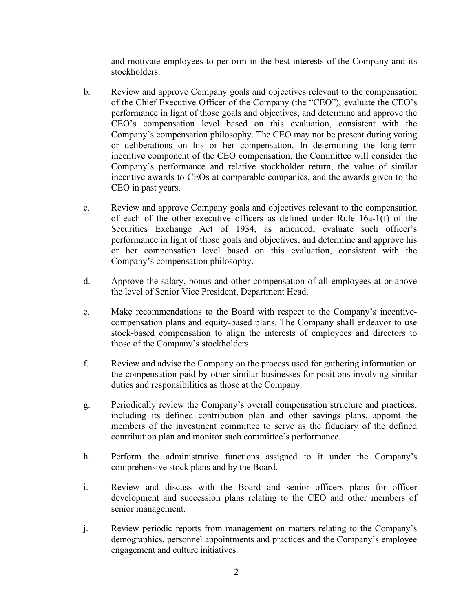and motivate employees to perform in the best interests of the Company and its stockholders.

- b. Review and approve Company goals and objectives relevant to the compensation of the Chief Executive Officer of the Company (the "CEO"), evaluate the CEO's performance in light of those goals and objectives, and determine and approve the CEO's compensation level based on this evaluation, consistent with the Company's compensation philosophy. The CEO may not be present during voting or deliberations on his or her compensation. In determining the long-term incentive component of the CEO compensation, the Committee will consider the Company's performance and relative stockholder return, the value of similar incentive awards to CEOs at comparable companies, and the awards given to the CEO in past years.
- c. Review and approve Company goals and objectives relevant to the compensation of each of the other executive officers as defined under Rule 16a-1(f) of the Securities Exchange Act of 1934, as amended, evaluate such officer's performance in light of those goals and objectives, and determine and approve his or her compensation level based on this evaluation, consistent with the Company's compensation philosophy.
- d. Approve the salary, bonus and other compensation of all employees at or above the level of Senior Vice President, Department Head.
- e. Make recommendations to the Board with respect to the Company's incentivecompensation plans and equity-based plans. The Company shall endeavor to use stock-based compensation to align the interests of employees and directors to those of the Company's stockholders.
- f. Review and advise the Company on the process used for gathering information on the compensation paid by other similar businesses for positions involving similar duties and responsibilities as those at the Company.
- g. Periodically review the Company's overall compensation structure and practices, including its defined contribution plan and other savings plans, appoint the members of the investment committee to serve as the fiduciary of the defined contribution plan and monitor such committee's performance.
- h. Perform the administrative functions assigned to it under the Company's comprehensive stock plans and by the Board.
- i. Review and discuss with the Board and senior officers plans for officer development and succession plans relating to the CEO and other members of senior management.
- j. Review periodic reports from management on matters relating to the Company's demographics, personnel appointments and practices and the Company's employee engagement and culture initiatives.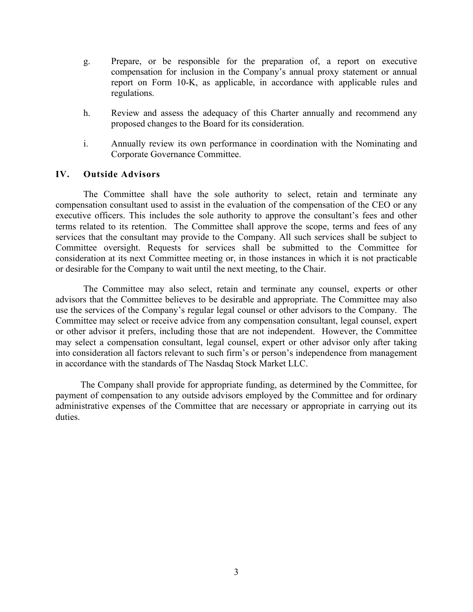- g. Prepare, or be responsible for the preparation of, a report on executive compensation for inclusion in the Company's annual proxy statement or annual report on Form 10-K, as applicable, in accordance with applicable rules and regulations.
- h. Review and assess the adequacy of this Charter annually and recommend any proposed changes to the Board for its consideration.
- i. Annually review its own performance in coordination with the Nominating and Corporate Governance Committee.

# **IV. Outside Advisors**

The Committee shall have the sole authority to select, retain and terminate any compensation consultant used to assist in the evaluation of the compensation of the CEO or any executive officers. This includes the sole authority to approve the consultant's fees and other terms related to its retention. The Committee shall approve the scope, terms and fees of any services that the consultant may provide to the Company. All such services shall be subject to Committee oversight. Requests for services shall be submitted to the Committee for consideration at its next Committee meeting or, in those instances in which it is not practicable or desirable for the Company to wait until the next meeting, to the Chair.

The Committee may also select, retain and terminate any counsel, experts or other advisors that the Committee believes to be desirable and appropriate. The Committee may also use the services of the Company's regular legal counsel or other advisors to the Company. The Committee may select or receive advice from any compensation consultant, legal counsel, expert or other advisor it prefers, including those that are not independent. However, the Committee may select a compensation consultant, legal counsel, expert or other advisor only after taking into consideration all factors relevant to such firm's or person's independence from management in accordance with the standards of The Nasdaq Stock Market LLC.

The Company shall provide for appropriate funding, as determined by the Committee, for payment of compensation to any outside advisors employed by the Committee and for ordinary administrative expenses of the Committee that are necessary or appropriate in carrying out its duties.